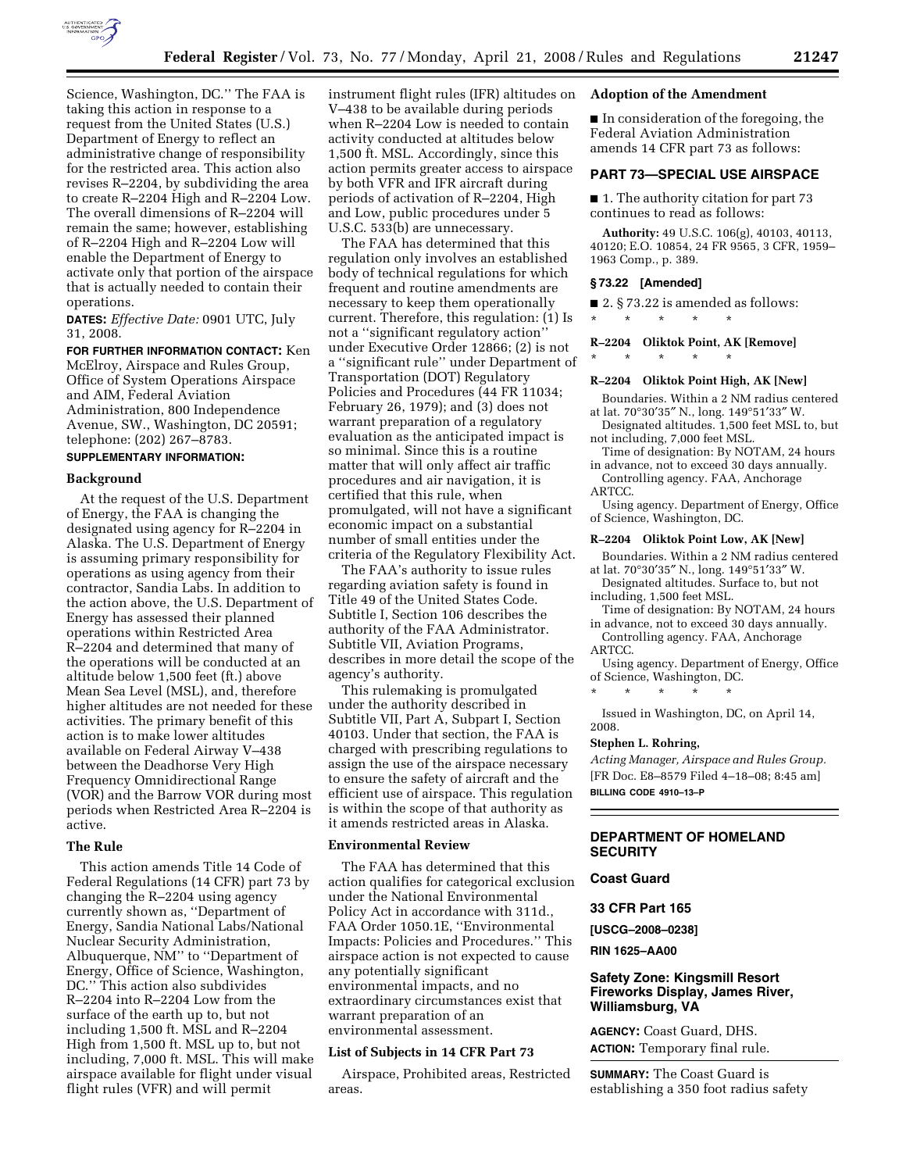

Science, Washington, DC.'' The FAA is taking this action in response to a request from the United States (U.S.) Department of Energy to reflect an administrative change of responsibility for the restricted area. This action also revises R–2204, by subdividing the area to create R–2204 High and R–2204 Low. The overall dimensions of R–2204 will remain the same; however, establishing of R–2204 High and R–2204 Low will enable the Department of Energy to activate only that portion of the airspace that is actually needed to contain their operations.

**DATES:** *Effective Date:* 0901 UTC, July 31, 2008.

**FOR FURTHER INFORMATION CONTACT:** Ken McElroy, Airspace and Rules Group, Office of System Operations Airspace and AIM, Federal Aviation Administration, 800 Independence Avenue, SW., Washington, DC 20591; telephone: (202) 267–8783.

## **SUPPLEMENTARY INFORMATION:**

#### **Background**

At the request of the U.S. Department of Energy, the FAA is changing the designated using agency for R–2204 in Alaska. The U.S. Department of Energy is assuming primary responsibility for operations as using agency from their contractor, Sandia Labs. In addition to the action above, the U.S. Department of Energy has assessed their planned operations within Restricted Area R–2204 and determined that many of the operations will be conducted at an altitude below 1,500 feet (ft.) above Mean Sea Level (MSL), and, therefore higher altitudes are not needed for these activities. The primary benefit of this action is to make lower altitudes available on Federal Airway V–438 between the Deadhorse Very High Frequency Omnidirectional Range (VOR) and the Barrow VOR during most periods when Restricted Area R–2204 is active.

#### **The Rule**

This action amends Title 14 Code of Federal Regulations (14 CFR) part 73 by changing the R–2204 using agency currently shown as, ''Department of Energy, Sandia National Labs/National Nuclear Security Administration, Albuquerque, NM'' to ''Department of Energy, Office of Science, Washington, DC.'' This action also subdivides R–2204 into R–2204 Low from the surface of the earth up to, but not including 1,500 ft. MSL and R–2204 High from 1,500 ft. MSL up to, but not including, 7,000 ft. MSL. This will make airspace available for flight under visual flight rules (VFR) and will permit

instrument flight rules (IFR) altitudes on V–438 to be available during periods when R–2204 Low is needed to contain activity conducted at altitudes below 1,500 ft. MSL. Accordingly, since this action permits greater access to airspace by both VFR and IFR aircraft during periods of activation of R–2204, High and Low, public procedures under 5 U.S.C. 533(b) are unnecessary.

The FAA has determined that this regulation only involves an established body of technical regulations for which frequent and routine amendments are necessary to keep them operationally current. Therefore, this regulation: (1) Is not a ''significant regulatory action'' under Executive Order 12866; (2) is not a ''significant rule'' under Department of Transportation (DOT) Regulatory Policies and Procedures (44 FR 11034; February 26, 1979); and (3) does not warrant preparation of a regulatory evaluation as the anticipated impact is so minimal. Since this is a routine matter that will only affect air traffic procedures and air navigation, it is certified that this rule, when promulgated, will not have a significant economic impact on a substantial number of small entities under the criteria of the Regulatory Flexibility Act.

The FAA's authority to issue rules regarding aviation safety is found in Title 49 of the United States Code. Subtitle I, Section 106 describes the authority of the FAA Administrator. Subtitle VII, Aviation Programs, describes in more detail the scope of the agency's authority.

This rulemaking is promulgated under the authority described in Subtitle VII, Part A, Subpart I, Section 40103. Under that section, the FAA is charged with prescribing regulations to assign the use of the airspace necessary to ensure the safety of aircraft and the efficient use of airspace. This regulation is within the scope of that authority as it amends restricted areas in Alaska.

## **Environmental Review**

The FAA has determined that this action qualifies for categorical exclusion under the National Environmental Policy Act in accordance with 311d., FAA Order 1050.1E, ''Environmental Impacts: Policies and Procedures.'' This airspace action is not expected to cause any potentially significant environmental impacts, and no extraordinary circumstances exist that warrant preparation of an environmental assessment.

#### **List of Subjects in 14 CFR Part 73**

Airspace, Prohibited areas, Restricted areas.

### **Adoption of the Amendment**

■ In consideration of the foregoing, the Federal Aviation Administration amends 14 CFR part 73 as follows:

#### **PART 73—SPECIAL USE AIRSPACE**

■ 1. The authority citation for part 73 continues to read as follows:

**Authority:** 49 U.S.C. 106(g), 40103, 40113, 40120; E.O. 10854, 24 FR 9565, 3 CFR, 1959– 1963 Comp., p. 389.

#### **§ 73.22 [Amended]**

\* \* \* \* \*

 $\blacksquare$  2. § 73.22 is amended as follows:

## **R–2204 Oliktok Point, AK [Remove]**

#### \* \* \* \* \*

# **R–2204 Oliktok Point High, AK [New]**

- Boundaries. Within a 2 NM radius centered at lat. 70°30′35″ N., long. 149°51′33″ W. Designated altitudes. 1,500 feet MSL to, but
- not including, 7,000 feet MSL.
- Time of designation: By NOTAM, 24 hours in advance, not to exceed 30 days annually.
- Controlling agency. FAA, Anchorage ARTCC.

Using agency. Department of Energy, Office of Science, Washington, DC.

#### **R–2204 Oliktok Point Low, AK [New]**

- Boundaries. Within a 2 NM radius centered at lat. 70°30′35″ N., long. 149°51′33″ W.
- Designated altitudes. Surface to, but not including, 1,500 feet MSL.
- Time of designation: By NOTAM, 24 hours in advance, not to exceed 30 days annually.
- Controlling agency. FAA, Anchorage ARTCC.

Using agency. Department of Energy, Office of Science, Washington, DC.

\* \* \* \* \*

Issued in Washington, DC, on April 14, 2008.

#### **Stephen L. Rohring,**

*Acting Manager, Airspace and Rules Group.*  [FR Doc. E8–8579 Filed 4–18–08; 8:45 am] **BILLING CODE 4910–13–P** 

## **DEPARTMENT OF HOMELAND SECURITY**

## **Coast Guard**

#### **33 CFR Part 165**

**[USCG–2008–0238]** 

**RIN 1625–AA00** 

## **Safety Zone: Kingsmill Resort Fireworks Display, James River, Williamsburg, VA**

**AGENCY:** Coast Guard, DHS. **ACTION:** Temporary final rule.

**SUMMARY:** The Coast Guard is establishing a 350 foot radius safety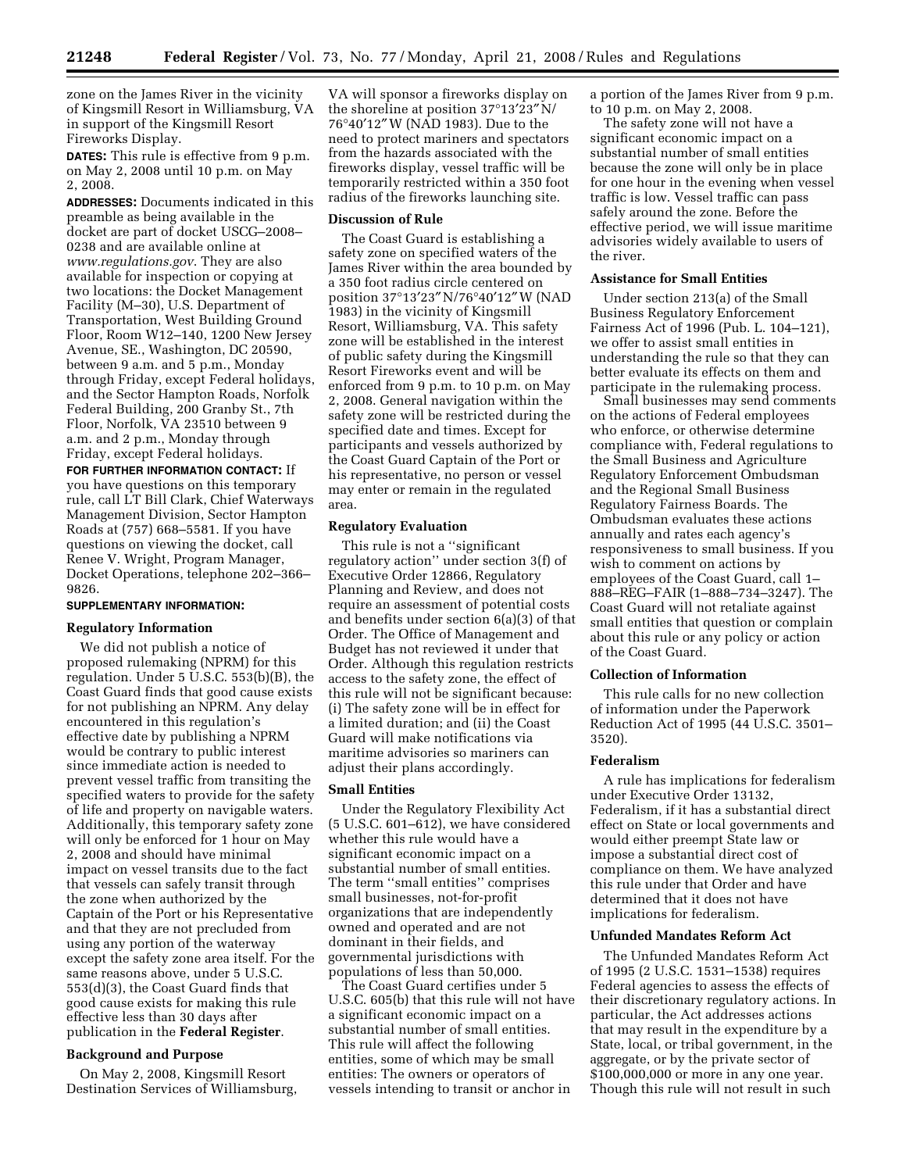zone on the James River in the vicinity of Kingsmill Resort in Williamsburg, VA in support of the Kingsmill Resort Fireworks Display.

**DATES:** This rule is effective from 9 p.m. on May 2, 2008 until 10 p.m. on May 2, 2008.

**ADDRESSES:** Documents indicated in this preamble as being available in the docket are part of docket USCG–2008– 0238 and are available online at *www.regulations.gov*. They are also available for inspection or copying at two locations: the Docket Management Facility (M–30), U.S. Department of Transportation, West Building Ground Floor, Room W12–140, 1200 New Jersey Avenue, SE., Washington, DC 20590, between 9 a.m. and 5 p.m., Monday through Friday, except Federal holidays, and the Sector Hampton Roads, Norfolk Federal Building, 200 Granby St., 7th Floor, Norfolk, VA 23510 between 9 a.m. and 2 p.m., Monday through Friday, except Federal holidays.

**FOR FURTHER INFORMATION CONTACT:** If you have questions on this temporary rule, call LT Bill Clark, Chief Waterways Management Division, Sector Hampton Roads at (757) 668–5581. If you have questions on viewing the docket, call Renee V. Wright, Program Manager, Docket Operations, telephone 202–366– 9826.

#### **SUPPLEMENTARY INFORMATION:**

## **Regulatory Information**

We did not publish a notice of proposed rulemaking (NPRM) for this regulation. Under  $5 \text{ U.S.C. } 553 \text{ (b) (B)}$ , the Coast Guard finds that good cause exists for not publishing an NPRM. Any delay encountered in this regulation's effective date by publishing a NPRM would be contrary to public interest since immediate action is needed to prevent vessel traffic from transiting the specified waters to provide for the safety of life and property on navigable waters. Additionally, this temporary safety zone will only be enforced for 1 hour on May 2, 2008 and should have minimal impact on vessel transits due to the fact that vessels can safely transit through the zone when authorized by the Captain of the Port or his Representative and that they are not precluded from using any portion of the waterway except the safety zone area itself. For the same reasons above, under 5 U.S.C. 553(d)(3), the Coast Guard finds that good cause exists for making this rule effective less than 30 days after publication in the **Federal Register**.

#### **Background and Purpose**

On May 2, 2008, Kingsmill Resort Destination Services of Williamsburg,

VA will sponsor a fireworks display on the shoreline at position 37°13′23″ N/ 76°40′12″ W (NAD 1983). Due to the need to protect mariners and spectators from the hazards associated with the fireworks display, vessel traffic will be temporarily restricted within a 350 foot radius of the fireworks launching site.

#### **Discussion of Rule**

The Coast Guard is establishing a safety zone on specified waters of the James River within the area bounded by a 350 foot radius circle centered on position 37°13′23″ N/76°40′12″ W (NAD 1983) in the vicinity of Kingsmill Resort, Williamsburg, VA. This safety zone will be established in the interest of public safety during the Kingsmill Resort Fireworks event and will be enforced from 9 p.m. to 10 p.m. on May 2, 2008. General navigation within the safety zone will be restricted during the specified date and times. Except for participants and vessels authorized by the Coast Guard Captain of the Port or his representative, no person or vessel may enter or remain in the regulated area.

#### **Regulatory Evaluation**

This rule is not a ''significant regulatory action'' under section 3(f) of Executive Order 12866, Regulatory Planning and Review, and does not require an assessment of potential costs and benefits under section 6(a)(3) of that Order. The Office of Management and Budget has not reviewed it under that Order. Although this regulation restricts access to the safety zone, the effect of this rule will not be significant because: (i) The safety zone will be in effect for a limited duration; and (ii) the Coast Guard will make notifications via maritime advisories so mariners can adjust their plans accordingly.

#### **Small Entities**

Under the Regulatory Flexibility Act (5 U.S.C. 601–612), we have considered whether this rule would have a significant economic impact on a substantial number of small entities. The term ''small entities'' comprises small businesses, not-for-profit organizations that are independently owned and operated and are not dominant in their fields, and governmental jurisdictions with populations of less than 50,000.

The Coast Guard certifies under 5 U.S.C. 605(b) that this rule will not have a significant economic impact on a substantial number of small entities. This rule will affect the following entities, some of which may be small entities: The owners or operators of vessels intending to transit or anchor in

a portion of the James River from 9 p.m. to 10 p.m. on May 2, 2008.

The safety zone will not have a significant economic impact on a substantial number of small entities because the zone will only be in place for one hour in the evening when vessel traffic is low. Vessel traffic can pass safely around the zone. Before the effective period, we will issue maritime advisories widely available to users of the river.

## **Assistance for Small Entities**

Under section 213(a) of the Small Business Regulatory Enforcement Fairness Act of 1996 (Pub. L. 104–121), we offer to assist small entities in understanding the rule so that they can better evaluate its effects on them and participate in the rulemaking process.

Small businesses may send comments on the actions of Federal employees who enforce, or otherwise determine compliance with, Federal regulations to the Small Business and Agriculture Regulatory Enforcement Ombudsman and the Regional Small Business Regulatory Fairness Boards. The Ombudsman evaluates these actions annually and rates each agency's responsiveness to small business. If you wish to comment on actions by employees of the Coast Guard, call 1– 888–REG–FAIR (1–888–734–3247). The Coast Guard will not retaliate against small entities that question or complain about this rule or any policy or action of the Coast Guard.

#### **Collection of Information**

This rule calls for no new collection of information under the Paperwork Reduction Act of 1995 (44 U.S.C. 3501– 3520).

#### **Federalism**

A rule has implications for federalism under Executive Order 13132, Federalism, if it has a substantial direct effect on State or local governments and would either preempt State law or impose a substantial direct cost of compliance on them. We have analyzed this rule under that Order and have determined that it does not have implications for federalism.

#### **Unfunded Mandates Reform Act**

The Unfunded Mandates Reform Act of 1995 (2 U.S.C. 1531–1538) requires Federal agencies to assess the effects of their discretionary regulatory actions. In particular, the Act addresses actions that may result in the expenditure by a State, local, or tribal government, in the aggregate, or by the private sector of \$100,000,000 or more in any one year. Though this rule will not result in such